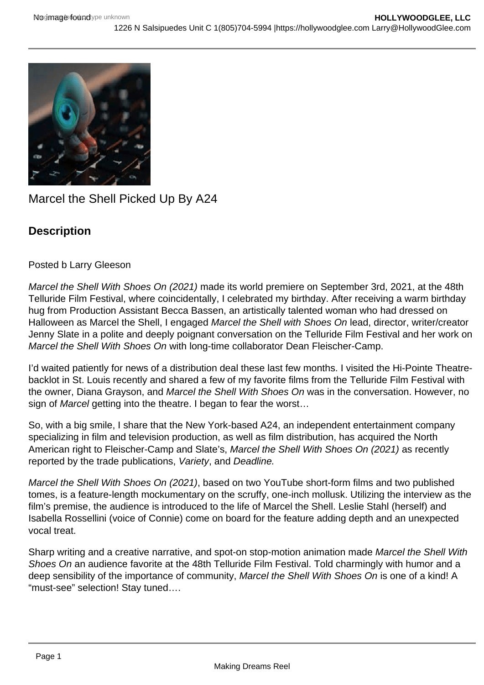

Marcel the Shell Picked Up By A24

## **Description**

## Posted b Larry Gleeson

Marcel the Shell With Shoes On (2021) made its world premiere on September 3rd, 2021, at the 48th Telluride Film Festival, where coincidentally, I celebrated my birthday. After receiving a warm birthday hug from Production Assistant Becca Bassen, an artistically talented woman who had dressed on Halloween as Marcel the Shell, I engaged Marcel the Shell with Shoes On lead, director, writer/creator Jenny Slate in a polite and deeply poignant conversation on the Telluride Film Festival and her work on Marcel the Shell With Shoes On with long-time collaborator Dean Fleischer-Camp.

I'd waited patiently for news of a distribution deal these last few months. I visited the Hi-Pointe Theatrebacklot in St. Louis recently and shared a few of my favorite films from the Telluride Film Festival with the owner, Diana Grayson, and Marcel the Shell With Shoes On was in the conversation. However, no sign of Marcel getting into the theatre. I began to fear the worst...

So, with a big smile, I share that the New York-based A24, an independent entertainment company specializing in film and television production, as well as film distribution, has acquired the North American right to Fleischer-Camp and Slate's, Marcel the Shell With Shoes On (2021) as recently reported by the trade publications, Variety, and Deadline.

Marcel the Shell With Shoes On (2021), based on two YouTube short-form films and two published tomes, is a feature-length mockumentary on the scruffy, one-inch mollusk. Utilizing the interview as the film's premise, the audience is introduced to the life of Marcel the Shell. Leslie Stahl (herself) and Isabella Rossellini (voice of Connie) come on board for the feature adding depth and an unexpected vocal treat.

Sharp writing and a creative narrative, and spot-on stop-motion animation made Marcel the Shell With Shoes On an audience favorite at the 48th Telluride Film Festival. Told charmingly with humor and a deep sensibility of the importance of community, Marcel the Shell With Shoes On is one of a kind! A "must-see" selection! Stay tuned….